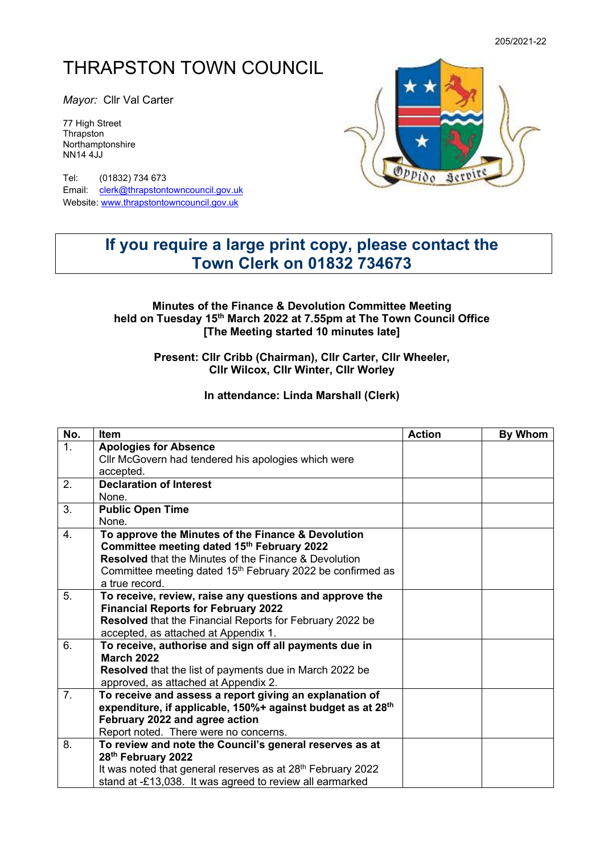# THRAPSTON TOWN COUNCIL

*Mayor:* Cllr Val Carter

77 High Street **Thrapston** Northamptonshire NN14 4JJ

Tel: (01832) 734 673 Email: [clerk@thrapstontowncouncil.gov.uk](mailto:clerk@thrapstontowncouncil.gov.uk) Website[: www.thrapstontowncouncil.gov.uk](http://www.thrapstontowncouncil.gov.uk/)



## **If you require a large print copy, please contact the Town Clerk on 01832 734673**

#### **Minutes of the Finance & Devolution Committee Meeting held on Tuesday 15th March 2022 at 7.55pm at The Town Council Office [The Meeting started 10 minutes late]**

#### **Present: Cllr Cribb (Chairman), Cllr Carter, Cllr Wheeler, Cllr Wilcox, Cllr Winter, Cllr Worley**

#### **In attendance: Linda Marshall (Clerk)**

| No.            | Item                                                                    | <b>Action</b> | By Whom |
|----------------|-------------------------------------------------------------------------|---------------|---------|
| 1.             | <b>Apologies for Absence</b>                                            |               |         |
|                | Cllr McGovern had tendered his apologies which were                     |               |         |
|                | accepted.                                                               |               |         |
| 2.             | <b>Declaration of Interest</b>                                          |               |         |
|                | None.                                                                   |               |         |
| 3.             | <b>Public Open Time</b>                                                 |               |         |
|                | None.                                                                   |               |         |
| 4.             | To approve the Minutes of the Finance & Devolution                      |               |         |
|                | Committee meeting dated 15th February 2022                              |               |         |
|                | <b>Resolved</b> that the Minutes of the Finance & Devolution            |               |         |
|                | Committee meeting dated 15 <sup>th</sup> February 2022 be confirmed as  |               |         |
|                | a true record.                                                          |               |         |
| 5 <sub>1</sub> | To receive, review, raise any questions and approve the                 |               |         |
|                | <b>Financial Reports for February 2022</b>                              |               |         |
|                | Resolved that the Financial Reports for February 2022 be                |               |         |
|                | accepted, as attached at Appendix 1.                                    |               |         |
| 6.             | To receive, authorise and sign off all payments due in                  |               |         |
|                | <b>March 2022</b>                                                       |               |         |
|                | <b>Resolved</b> that the list of payments due in March 2022 be          |               |         |
|                | approved, as attached at Appendix 2.                                    |               |         |
| 7 <sub>1</sub> | To receive and assess a report giving an explanation of                 |               |         |
|                | expenditure, if applicable, 150%+ against budget as at 28 <sup>th</sup> |               |         |
|                | February 2022 and agree action                                          |               |         |
|                | Report noted. There were no concerns.                                   |               |         |
| 8.             | To review and note the Council's general reserves as at                 |               |         |
|                | 28th February 2022                                                      |               |         |
|                | It was noted that general reserves as at 28 <sup>th</sup> February 2022 |               |         |
|                | stand at -£13,038. It was agreed to review all earmarked                |               |         |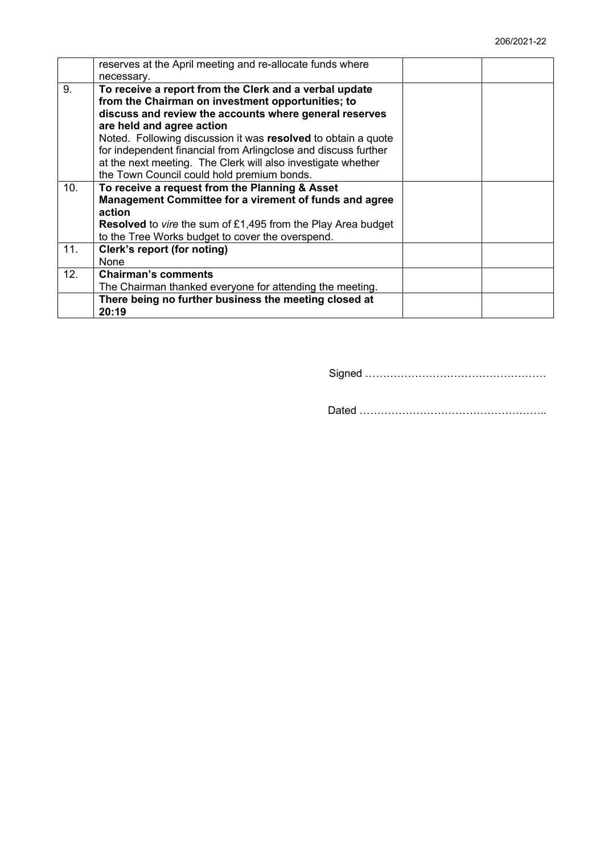|     | reserves at the April meeting and re-allocate funds where<br>necessary.                                                                                                                                                                                                                                                                                                                               |  |
|-----|-------------------------------------------------------------------------------------------------------------------------------------------------------------------------------------------------------------------------------------------------------------------------------------------------------------------------------------------------------------------------------------------------------|--|
| 9.  | To receive a report from the Clerk and a verbal update<br>from the Chairman on investment opportunities; to<br>discuss and review the accounts where general reserves<br>are held and agree action<br>Noted. Following discussion it was resolved to obtain a quote<br>for independent financial from Arlingclose and discuss further<br>at the next meeting. The Clerk will also investigate whether |  |
|     | the Town Council could hold premium bonds.                                                                                                                                                                                                                                                                                                                                                            |  |
| 10. | To receive a request from the Planning & Asset<br>Management Committee for a virement of funds and agree<br>action<br><b>Resolved</b> to vire the sum of £1,495 from the Play Area budget<br>to the Tree Works budget to cover the overspend.                                                                                                                                                         |  |
| 11. | Clerk's report (for noting)<br><b>None</b>                                                                                                                                                                                                                                                                                                                                                            |  |
| 12. | <b>Chairman's comments</b><br>The Chairman thanked everyone for attending the meeting.                                                                                                                                                                                                                                                                                                                |  |
|     | There being no further business the meeting closed at<br>20:19                                                                                                                                                                                                                                                                                                                                        |  |

Signed ……………………………………………

Dated ……………………………………………..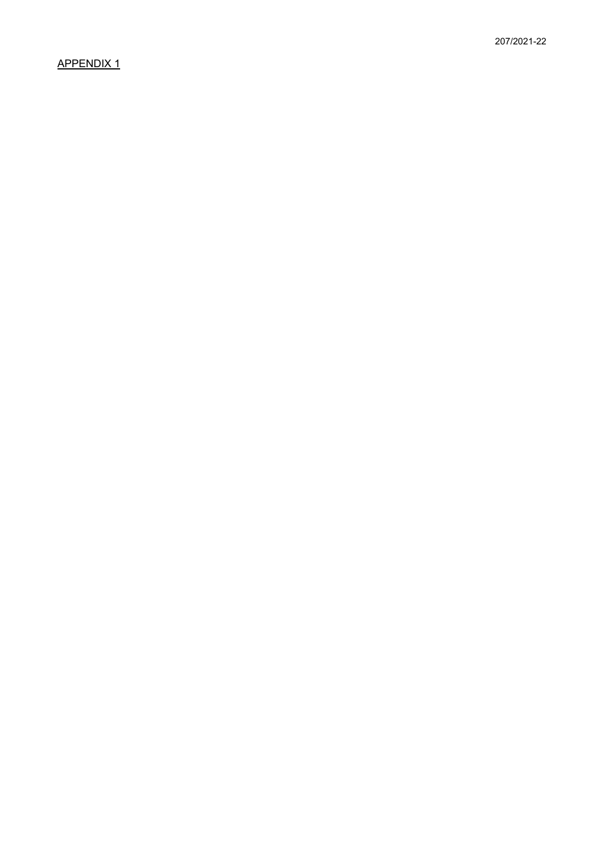### APPENDIX 1